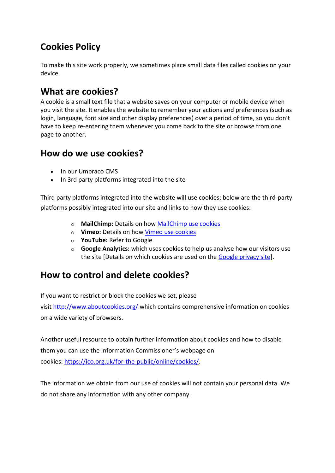# **Cookies Policy**

To make this site work properly, we sometimes place small data files called cookies on your device.

## **What are cookies?**

A cookie is a small text file that a website saves on your computer or mobile device when you visit the site. It enables the website to remember your actions and preferences (such as login, language, font size and other display preferences) over a period of time, so you don't have to keep re-entering them whenever you come back to the site or browse from one page to another.

## **How do we use cookies?**

- In our Umbraco CMS
- In 3rd party platforms integrated into the site

Third party platforms integrated into the website will use cookies; below are the third-party platforms possibly integrated into our site and links to how they use cookies:

- o **MailChimp:** Details on how [MailChimp use cookies](https://kb.mailchimp.com/accounts/account-setup/how-mailchimp-uses-cookies)
- o **Vimeo:** Details on how Vimeo [use cookies](https://vimeo.com/cookie_policy)
- o **YouTube:** Refer to Google
- o **Google Analytics:** which uses cookies to help us analyse how our visitors use the site [Details on which cookies are used on the [Google privacy site\]](https://support.google.com/analytics/answer/6004245).

# **How to control and delete cookies?**

If you want to restrict or block the cookies we set, please

visit <http://www.aboutcookies.org/> which contains comprehensive information on cookies on a wide variety of browsers.

Another useful resource to obtain further information about cookies and how to disable them you can use the Information Commissioner's webpage on cookies: [https://ico.org.uk/for-the-public/online/cookies/.](https://ico.org.uk/for-the-public/online/cookies/)

The information we obtain from our use of cookies will not contain your personal data. We do not share any information with any other company.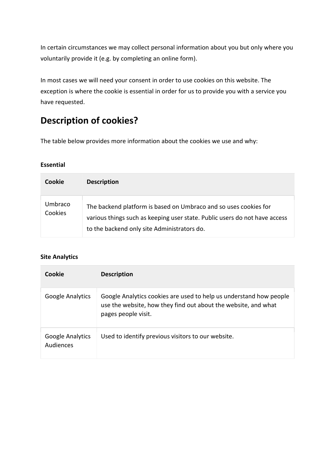In certain circumstances we may collect personal information about you but only where you voluntarily provide it (e.g. by completing an online form).

In most cases we will need your consent in order to use cookies on this website. The exception is where the cookie is essential in order for us to provide you with a service you have requested.

# **Description of cookies?**

The table below provides more information about the cookies we use and why:

### **Essential**

| Cookie             | <b>Description</b>                                                                                                                                                                            |
|--------------------|-----------------------------------------------------------------------------------------------------------------------------------------------------------------------------------------------|
| Umbraco<br>Cookies | The backend platform is based on Umbraco and so uses cookies for<br>various things such as keeping user state. Public users do not have access<br>to the backend only site Administrators do. |

### **Site Analytics**

| Cookie                        | <b>Description</b>                                                                                                                                          |
|-------------------------------|-------------------------------------------------------------------------------------------------------------------------------------------------------------|
| Google Analytics              | Google Analytics cookies are used to help us understand how people<br>use the website, how they find out about the website, and what<br>pages people visit. |
| Google Analytics<br>Audiences | Used to identify previous visitors to our website.                                                                                                          |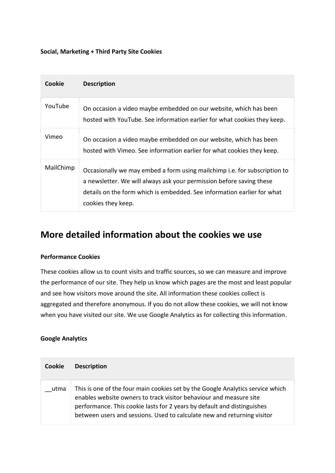#### **Social, Marketing + Third Party Site Cookies**

| Cookie    | <b>Description</b>                                                                                                                                                                                                                                 |
|-----------|----------------------------------------------------------------------------------------------------------------------------------------------------------------------------------------------------------------------------------------------------|
| YouTube   | On occasion a video maybe embedded on our website, which has been<br>hosted with YouTube. See information earlier for what cookies they keep.                                                                                                      |
| Vimeo     | On occasion a video maybe embedded on our website, which has been<br>hosted with Vimeo. See information earlier for what cookies they keep.                                                                                                        |
| MailChimp | Occasionally we may embed a form using mailchimp i.e. for subscription to<br>a newsletter. We will always ask your permission before saving these<br>details on the form which is embedded. See information earlier for what<br>cookies they keep. |

### **More detailed information about the cookies we use**

#### **Performance Cookies**

These cookies allow us to count visits and traffic sources, so we can measure and improve the performance of our site. They help us know which pages are the most and least popular and see how visitors move around the site. All information these cookies collect is aggregated and therefore anonymous. If you do not allow these cookies, we will not know when you have visited our site. We use Google Analytics as for collecting this information.

#### **Google Analytics**

| Cookie | <b>Description</b>                                                                                                                                                                                                                                                                                         |
|--------|------------------------------------------------------------------------------------------------------------------------------------------------------------------------------------------------------------------------------------------------------------------------------------------------------------|
| utma   | This is one of the four main cookies set by the Google Analytics service which<br>enables website owners to track visitor behaviour and measure site<br>performance. This cookie lasts for 2 years by default and distinguishes<br>between users and sessions. Used to calculate new and returning visitor |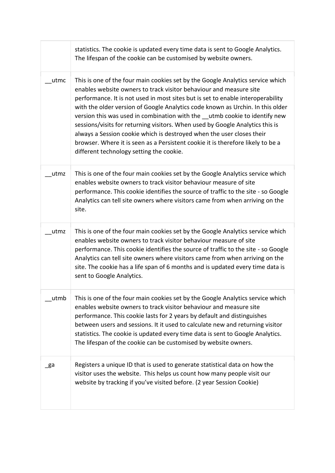|      | statistics. The cookie is updated every time data is sent to Google Analytics.<br>The lifespan of the cookie can be customised by website owners.                                                                                                                                                                                                                                                                                                                                                                                                                                                                                                                                               |
|------|-------------------------------------------------------------------------------------------------------------------------------------------------------------------------------------------------------------------------------------------------------------------------------------------------------------------------------------------------------------------------------------------------------------------------------------------------------------------------------------------------------------------------------------------------------------------------------------------------------------------------------------------------------------------------------------------------|
| utmc | This is one of the four main cookies set by the Google Analytics service which<br>enables website owners to track visitor behaviour and measure site<br>performance. It is not used in most sites but is set to enable interoperability<br>with the older version of Google Analytics code known as Urchin. In this older<br>version this was used in combination with the utmb cookie to identify new<br>sessions/visits for returning visitors. When used by Google Analytics this is<br>always a Session cookie which is destroyed when the user closes their<br>browser. Where it is seen as a Persistent cookie it is therefore likely to be a<br>different technology setting the cookie. |
| utmz | This is one of the four main cookies set by the Google Analytics service which<br>enables website owners to track visitor behaviour measure of site<br>performance. This cookie identifies the source of traffic to the site - so Google<br>Analytics can tell site owners where visitors came from when arriving on the<br>site.                                                                                                                                                                                                                                                                                                                                                               |
| utmz | This is one of the four main cookies set by the Google Analytics service which<br>enables website owners to track visitor behaviour measure of site<br>performance. This cookie identifies the source of traffic to the site - so Google<br>Analytics can tell site owners where visitors came from when arriving on the<br>site. The cookie has a life span of 6 months and is updated every time data is<br>sent to Google Analytics.                                                                                                                                                                                                                                                         |
| utmb | This is one of the four main cookies set by the Google Analytics service which<br>enables website owners to track visitor behaviour and measure site<br>performance. This cookie lasts for 2 years by default and distinguishes<br>between users and sessions. It it used to calculate new and returning visitor<br>statistics. The cookie is updated every time data is sent to Google Analytics.<br>The lifespan of the cookie can be customised by website owners.                                                                                                                                                                                                                           |
| _ga  | Registers a unique ID that is used to generate statistical data on how the<br>visitor uses the website. This helps us count how many people visit our<br>website by tracking if you've visited before. (2 year Session Cookie)                                                                                                                                                                                                                                                                                                                                                                                                                                                                  |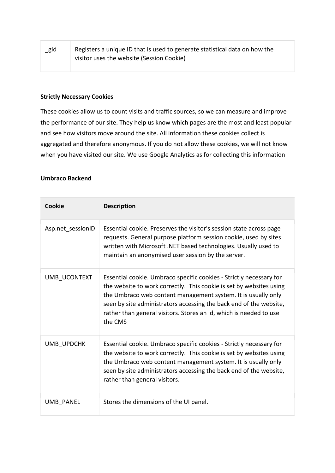| $\_$ gid | Registers a unique ID that is used to generate statistical data on how the |
|----------|----------------------------------------------------------------------------|
|          | visitor uses the website (Session Cookie)                                  |

#### **Strictly Necessary Cookies**

These cookies allow us to count visits and traffic sources, so we can measure and improve the performance of our site. They help us know which pages are the most and least popular and see how visitors move around the site. All information these cookies collect is aggregated and therefore anonymous. If you do not allow these cookies, we will not know when you have visited our site. We use Google Analytics as for collecting this information

#### **Umbraco Backend**

| Cookie            | <b>Description</b>                                                                                                                                                                                                                                                                                                                                                 |
|-------------------|--------------------------------------------------------------------------------------------------------------------------------------------------------------------------------------------------------------------------------------------------------------------------------------------------------------------------------------------------------------------|
| Asp.net sessionID | Essential cookie. Preserves the visitor's session state across page<br>requests. General purpose platform session cookie, used by sites<br>written with Microsoft .NET based technologies. Usually used to<br>maintain an anonymised user session by the server.                                                                                                   |
| UMB UCONTEXT      | Essential cookie. Umbraco specific cookies - Strictly necessary for<br>the website to work correctly. This cookie is set by websites using<br>the Umbraco web content management system. It is usually only<br>seen by site administrators accessing the back end of the website,<br>rather than general visitors. Stores an id, which is needed to use<br>the CMS |
| UMB UPDCHK        | Essential cookie. Umbraco specific cookies - Strictly necessary for<br>the website to work correctly. This cookie is set by websites using<br>the Umbraco web content management system. It is usually only<br>seen by site administrators accessing the back end of the website,<br>rather than general visitors.                                                 |
| <b>UMB PANEL</b>  | Stores the dimensions of the UI panel.                                                                                                                                                                                                                                                                                                                             |